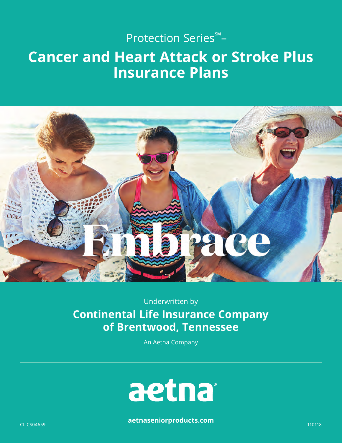## Protection Series℠ –

## **Cancer and Heart Attack or Stroke Plus Insurance Plans**



Underwritten by **Continental Life Insurance Company of Brentwood, Tennessee** 

An Aetna Company



**[aetnaseniorproducts.com](http://aetnaseniorproducts.com)** CLICS04659 110118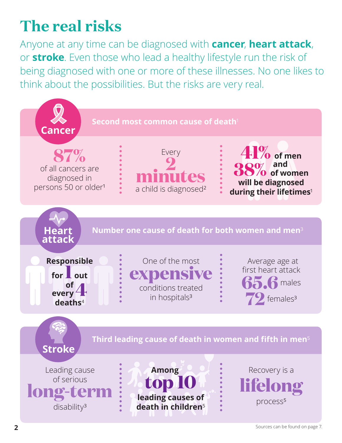# <span id="page-1-0"></span>**The real risks**

Anyone at any time can be diagnosed with **cancer**, **heart attack**, or **stroke**. Even those who lead a healthy lifestyle run the risk of being diagnosed with one or more of these illnesses. No one likes to think about the possibilities. But the risks are very real.

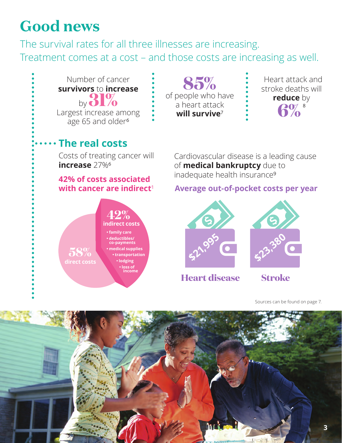# <span id="page-2-0"></span>**Good news**

The survival rates for all three illnesses are increasing. Treatment comes at a cost – and those costs are increasing as well.



[Sources can be found on page 7.](#page-6-0) 

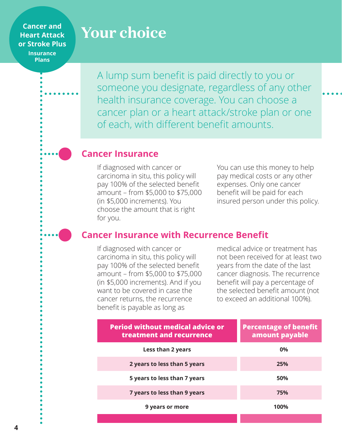### **Cancer and Heart Attack or Stroke Plus Insurance**

**Plans** 

# **Your choice**

A lump sum benefit is paid directly to you or someone you designate, regardless of any other health insurance coverage. You can choose a cancer plan or a heart attack/stroke plan or one of each, with different benefit amounts.

### **Cancer Insurance**

If diagnosed with cancer or carcinoma in situ, this policy will pay 100% of the selected benefit amount – from \$5,000 to \$75,000 (in \$5,000 increments). You choose the amount that is right for you.

You can use this money to help pay medical costs or any other expenses. Only one cancer benefit will be paid for each insured person under this policy.

## **Cancer Insurance with Recurrence Benefit**

If diagnosed with cancer or carcinoma in situ, this policy will pay 100% of the selected benefit amount – from \$5,000 to \$75,000 (in \$5,000 increments). And if you want to be covered in case the cancer returns, the recurrence benefit is payable as long as

medical advice or treatment has not been received for at least two years from the date of the last cancer diagnosis. The recurrence benefit will pay a percentage of the selected benefit amount (not to exceed an additional 100%).

| <b>Period without medical advice or</b><br>treatment and recurrence | <b>Percentage of benefit</b><br>amount payable |
|---------------------------------------------------------------------|------------------------------------------------|
| Less than 2 years                                                   | 0%                                             |
| 2 years to less than 5 years                                        | 25%                                            |
| 5 years to less than 7 years                                        | 50%                                            |
| 7 years to less than 9 years                                        | 75%                                            |
| 9 years or more                                                     | 100%                                           |
|                                                                     |                                                |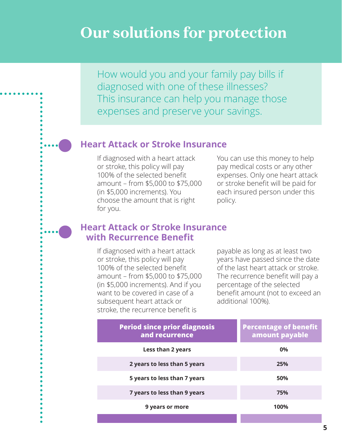# **Our solutions for protection**

How would you and your family pay bills if diagnosed with one of these illnesses? This insurance can help you manage those expenses and preserve your savings.

## **Heart Attack or Stroke Insurance**

If diagnosed with a heart attack or stroke, this policy will pay 100% of the selected benefit amount – from \$5,000 to \$75,000 (in \$5,000 increments). You choose the amount that is right for you.

You can use this money to help pay medical costs or any other expenses. Only one heart attack or stroke benefit will be paid for each insured person under this policy.

### **Heart Attack or Stroke Insurance with Recurrence Benefit**

If diagnosed with a heart attack or stroke, this policy will pay 100% of the selected benefit amount – from \$5,000 to \$75,000 (in \$5,000 increments). And if you want to be covered in case of a subsequent heart attack or stroke, the recurrence benefit is

payable as long as at least two years have passed since the date of the last heart attack or stroke. The recurrence benefit will pay a percentage of the selected benefit amount (not to exceed an additional 100%).

| <b>Percentage of benefit</b><br>amount payable |
|------------------------------------------------|
| 0%                                             |
| 25%                                            |
| 50%                                            |
| 75%                                            |
| 100%                                           |
|                                                |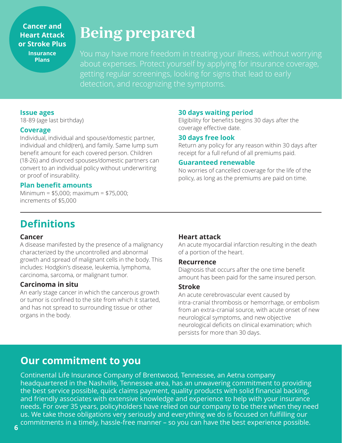### **Cancer and Heart Attack or Stroke Plus Insurance Plans**

# **Being prepared**

You may have more freedom in treating your illness, without worrying about expenses. Protect yourself by applying for insurance coverage, getting regular screenings, looking for signs that lead to early detection, and recognizing the symptoms.

### **Issue ages**

18-89 (age last birthday)

### **Coverage**

Individual, individual and spouse/domestic partner, individual and child(ren), and family. Same lump sum benefit amount for each covered person. Children (18-26) and divorced spouses/domestic partners can convert to an individual policy without underwriting or proof of insurability.

### **Plan benefit amounts**

Minimum = \$5,000; maximum = \$75,000; increments of \$5,000

### **30 days waiting period**

Eligibility for benefits begins 30 days after the coverage effective date.

### **30 days free look**

Return any policy for any reason within 30 days after receipt for a full refund of all premiums paid.

### **Guaranteed renewable**

No worries of cancelled coverage for the life of the policy, as long as the premiums are paid on time.

## **Definitions**

### **Cancer**

A disease manifested by the presence of a malignancy characterized by the uncontrolled and abnormal growth and spread of malignant cells in the body. This includes: Hodgkin's disease, leukemia, lymphoma, carcinoma, sarcoma, or malignant tumor.

### **Carcinoma in situ**

An early stage cancer in which the cancerous growth or tumor is confined to the site from which it started, and has not spread to surrounding tissue or other organs in the body.

### **Heart attack**

An acute myocardial infarction resulting in the death of a portion of the heart.

#### **Recurrence**

Diagnosis that occurs after the one time benefit amount has been paid for the same insured person.

### **Stroke**

An acute cerebrovascular event caused by intra-cranial thrombosis or hemorrhage, or embolism from an extra-cranial source, with acute onset of new neurological symptoms, and new objective neurological deficits on clinical examination; which persists for more than 30 days.

## **Our commitment to you**

Continental Life Insurance Company of Brentwood, Tennessee, an Aetna company headquartered in the Nashville, Tennessee area, has an unwavering commitment to providing the best service possible, quick claims payment, quality products with solid financial backing, and friendly associates with extensive knowledge and experience to help with your insurance needs. For over 35 years, policyholders have relied on our company to be there when they need us. We take those obligations very seriously and everything we do is focused on fulfilling our commitments in a timely, hassle-free manner – so you can have the best experience possible. **6**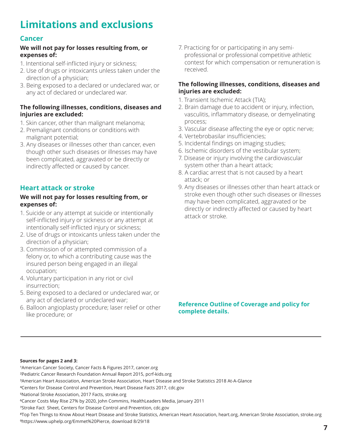## <span id="page-6-0"></span>**Limitations and exclusions**

### **Cancer**

### **We will not pay for losses resulting from, or expenses of:**

- 1. Intentional self-inflicted injury or sickness;
- 2. Use of drugs or intoxicants unless taken under the direction of a physician;
- 3. Being exposed to a declared or undeclared war, or any act of declared or undeclared war.

### **The following illnesses, conditions, diseases and injuries are excluded:**

- 1. Skin cancer, other than malignant melanoma;
- 2. Premalignant conditions or conditions with malignant potential;
- 3. Any diseases or illnesses other than cancer, even though other such diseases or illnesses may have been complicated, aggravated or be directly or indirectly affected or caused by cancer.

### **Heart attack or stroke**

### **We will not pay for losses resulting from, or expenses of:**

- 1. Suicide or any attempt at suicide or intentionally self-inflicted injury or sickness or any attempt at intentionally self-inflicted injury or sickness;
- 2. Use of drugs or intoxicants unless taken under the direction of a physician;
- 3. Commission of or attempted commission of a felony or, to which a contributing cause was the insured person being engaged in an illegal occupation;
- 4. Voluntary participation in any riot or civil insurrection;
- 5. Being exposed to a declared or undeclared war, or any act of declared or undeclared war;
- 6. Balloon angioplasty procedure; laser relief or other like procedure; or

7. Practicing for or participating in any semiprofessional or professional competitive athletic contest for which compensation or remuneration is received.

### **The following illnesses, conditions, diseases and injuries are excluded:**

- 1. Transient Ischemic Attack (TIA);
- 2. Brain damage due to accident or injury, infection, vasculitis, inflammatory disease, or demyelinating process;
- 3. Vascular disease affecting the eye or optic nerve;
- 4. Vertebrobasilar insufficiencies;
- 5. Incidental findings on imaging studies;
- 6. Ischemic disorders of the vestibular system;
- 7. Disease or injury involving the cardiovascular system other than a heart attack;
- 8. A cardiac arrest that is not caused by a heart attack; or
- 9. Any diseases or illnesses other than heart attack or stroke even though other such diseases or illnesses may have been complicated, aggravated or be directly or indirectly affected or caused by heart attack or stroke.

### **Reference Outline of Coverage and policy for complete details.**

#### **Sources for pages [2](#page-1-0) and [3:](#page-2-0)**

<sup>1</sup>American Cancer Society, Cancer Facts & Figures 2017, cancer.org ²Pediatric Cancer Research Foundation Annual Report 2015, pcrf-kids.org ³American Heart Association, American Stroke Association, Heart Disease and Stroke Statistics 2018 At-A-Glance ⁴Centers for Disease Control and Prevention, Heart Disease Facts 2017, [cdc.gov](http://cdc.gov) ⁵National Stroke Association, 2017 Facts, stroke.org ⁶Cancer Costs May Rise 27% by 2020, John Commins, HealthLeaders Media, January 2011 <sup>7</sup>Stroke Fact Sheet, Centers for Disease Control and Prevention, [cdc.gov](http://cdc.gov) ⁸Top Ten Things to Know About Heart Disease and Stroke Statistics, American Heart Association, heart.org, American Stroke Association, stroke.org [⁹https://www.uphelp.org/Emmet%20Pierce,](https://www.uphelp.org/Emmet%20Pierce) download 8/29/18